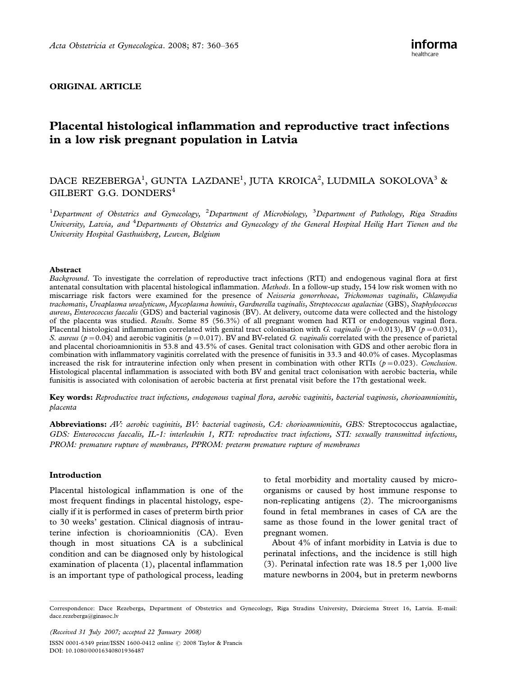# ORIGINAL ARTICLE

# Placental histological inflammation and reproductive tract infections in a low risk pregnant population in Latvia

# DACE REZEBERGA<sup>1</sup>, GUNTA LAZDANE<sup>1</sup>, JUTA KROICA<sup>2</sup>, LUDMILA SOKOLOVA<sup>3</sup> & GILBERT G.G. DONDERS<sup>4</sup>

 $^1$ Department of Obstetrics and Gynecology, <sup>2</sup>Department of Microbiology, <sup>3</sup>Department of Pathology, Riga Stradins University, Latvia, and <sup>4</sup>Departments of Obstetrics and Gynecology of the General Hospital Heilig Hart Tienen and the University Hospital Gasthuisberg, Leuven, Belgium

#### Abstract

Background. To investigate the correlation of reproductive tract infections (RTI) and endogenous vaginal flora at first antenatal consultation with placental histological inflammation. Methods. In a follow-up study, 154 low risk women with no miscarriage risk factors were examined for the presence of Neisseria gonorrhoeae, Trichomonas vaginalis, Chlamydia trachomatis, Ureaplasma urealyticum, Mycoplasma hominis, Gardnerella vaginalis, Streptococcus agalactiae (GBS), Staphylococcus aureus, Enterococcus faecalis (GDS) and bacterial vaginosis (BV). At delivery, outcome data were collected and the histology of the placenta was studied. Results. Some 85 (56.3%) of all pregnant women had RTI or endogenous vaginal flora. Placental histological inflammation correlated with genital tract colonisation with G. vaginalis ( $p=0.013$ ), BV ( $p=0.031$ ), S. aureus ( $p=0.04$ ) and aerobic vaginitis ( $p=0.017$ ). BV and BV-related G. vaginalis correlated with the presence of parietal and placental chorioamnionitis in 53.8 and 43.5% of cases. Genital tract colonisation with GDS and other aerobic flora in combination with inflammatory vaginitis correlated with the presence of funisitis in 33.3 and 40.0% of cases. Mycoplasmas increased the risk for intrauterine infection only when present in combination with other RTIs ( $p=0.023$ ). Conclusion. Histological placental inflammation is associated with both BV and genital tract colonisation with aerobic bacteria, while funisitis is associated with colonisation of aerobic bacteria at first prenatal visit before the 17th gestational week.

Key words: Reproductive tract infections, endogenous vaginal flora, aerobic vaginitis, bacterial vaginosis, chorioamnionitis, placenta

Abbreviations: AV: aerobic vaginitis, BV: bacterial vaginosis, CA: chorioamnionitis, GBS: Streptococcus agalactiae, GDS: Enterococcus faecalis, IL-1: interleukin 1, RTI: reproductive tract infections, STI: sexually transmitted infections, PROM: premature rupture of membranes, PPROM: preterm premature rupture of membranes

#### Introduction

Placental histological inflammation is one of the most frequent findings in placental histology, especially if it is performed in cases of preterm birth prior to 30 weeks' gestation. Clinical diagnosis of intrauterine infection is chorioamnionitis (CA). Even though in most situations CA is a subclinical condition and can be diagnosed only by histological examination of placenta (1), placental inflammation is an important type of pathological process, leading to fetal morbidity and mortality caused by microorganisms or caused by host immune response to non-replicating antigens (2). The microorganisms found in fetal membranes in cases of CA are the same as those found in the lower genital tract of pregnant women.

About 4% of infant morbidity in Latvia is due to perinatal infections, and the incidence is still high (3). Perinatal infection rate was 18.5 per 1,000 live mature newborns in 2004, but in preterm newborns

(Received 31 July 2007; accepted 22 January 2008)

ISSN 0001-6349 print/ISSN 1600-0412 online © 2008 Taylor & Francis DOI: 10.1080/00016340801936487

Correspondence: Dace Rezeberga, Department of Obstetrics and Gynecology, Riga Stradins University, Dzirciema Street 16, Latvia. E-mail: dace.rezeberga@ginasoc.lv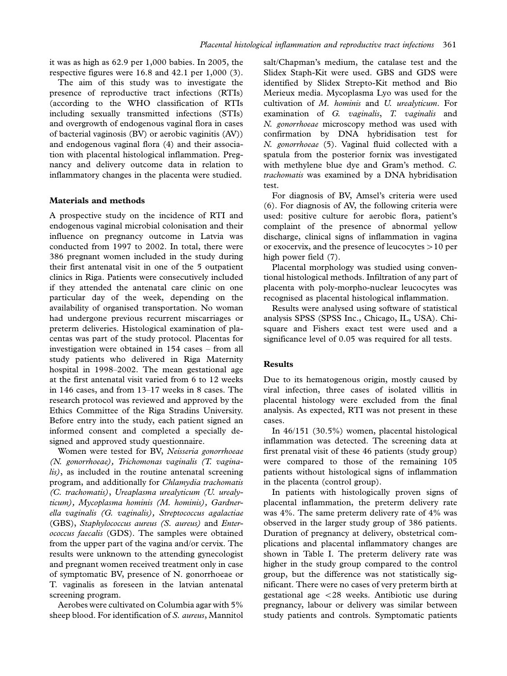it was as high as 62.9 per 1,000 babies. In 2005, the respective figures were 16.8 and 42.1 per 1,000 (3).

The aim of this study was to investigate the presence of reproductive tract infections (RTIs) (according to the WHO classification of RTIs including sexually transmitted infections (STIs) and overgrowth of endogenous vaginal flora in cases of bacterial vaginosis (BV) or aerobic vaginitis (AV)) and endogenous vaginal flora (4) and their association with placental histological inflammation. Pregnancy and delivery outcome data in relation to inflammatory changes in the placenta were studied.

## Materials and methods

A prospective study on the incidence of RTI and endogenous vaginal microbial colonisation and their influence on pregnancy outcome in Latvia was conducted from 1997 to 2002. In total, there were 386 pregnant women included in the study during their first antenatal visit in one of the 5 outpatient clinics in Riga. Patients were consecutively included if they attended the antenatal care clinic on one particular day of the week, depending on the availability of organised transportation. No woman had undergone previous recurrent miscarriages or preterm deliveries. Histological examination of placentas was part of the study protocol. Placentas for investigation were obtained in 154 cases – from all study patients who delivered in Riga Maternity hospital in 1998-2002. The mean gestational age at the first antenatal visit varied from 6 to 12 weeks in 146 cases, and from 13-17 weeks in 8 cases. The research protocol was reviewed and approved by the Ethics Committee of the Riga Stradins University. Before entry into the study, each patient signed an informed consent and completed a specially designed and approved study questionnaire.

Women were tested for BV, Neisseria gonorrhoeae (N. gonorrhoeae), Trichomonas vaginalis (T. vaginalis), as included in the routine antenatal screening program, and additionally for Chlamydia trachomatis (C. trachomatis), Ureaplasma urealyticum (U. urealyticum), Mycoplasma hominis (M. hominis), Gardnerella vaginalis (G. vaginalis), Streptococcus agalactiae (GBS), Staphylococcus aureus (S. aureus) and Enterococcus faecalis (GDS). The samples were obtained from the upper part of the vagina and/or cervix. The results were unknown to the attending gynecologist and pregnant women received treatment only in case of symptomatic BV, presence of N. gonorrhoeae or T. vaginalis as foreseen in the latvian antenatal screening program.

Aerobes were cultivated on Columbia agar with 5% sheep blood. For identification of S. aureus, Mannitol salt/Chapman's medium, the catalase test and the Slidex Staph-Kit were used. GBS and GDS were identified by Slidex Strepto-Kit method and Bio Merieux media. Mycoplasma Lyo was used for the cultivation of M. hominis and U. urealyticum. For examination of G. vaginalis, T. vaginalis and N. gonorrhoeae microscopy method was used with confirmation by DNA hybridisation test for N. gonorrhoeae (5). Vaginal fluid collected with a spatula from the posterior fornix was investigated with methylene blue dye and Gram's method. C. trachomatis was examined by a DNA hybridisation test.

For diagnosis of BV, Amsel's criteria were used (6). For diagnosis of AV, the following criteria were used: positive culture for aerobic flora, patient's complaint of the presence of abnormal yellow discharge, clinical signs of inflammation in vagina or exocervix, and the presence of leucocytes  $>10$  per high power field (7).

Placental morphology was studied using conventional histological methods. Infiltration of any part of placenta with poly-morpho-nuclear leucocytes was recognised as placental histological inflammation.

Results were analysed using software of statistical analysis SPSS (SPSS Inc., Chicago, IL, USA). Chisquare and Fishers exact test were used and a significance level of 0.05 was required for all tests.

## Results

Due to its hematogenous origin, mostly caused by viral infection, three cases of isolated villitis in placental histology were excluded from the final analysis. As expected, RTI was not present in these cases.

In 46/151 (30.5%) women, placental histological inflammation was detected. The screening data at first prenatal visit of these 46 patients (study group) were compared to those of the remaining 105 patients without histological signs of inflammation in the placenta (control group).

In patients with histologically proven signs of placental inflammation, the preterm delivery rate was 4%. The same preterm delivery rate of 4% was observed in the larger study group of 386 patients. Duration of pregnancy at delivery, obstetrical complications and placental inflammatory changes are shown in Table I. The preterm delivery rate was higher in the study group compared to the control group, but the difference was not statistically significant. There were no cases of very preterm birth at gestational age  $<$  28 weeks. Antibiotic use during pregnancy, labour or delivery was similar between study patients and controls. Symptomatic patients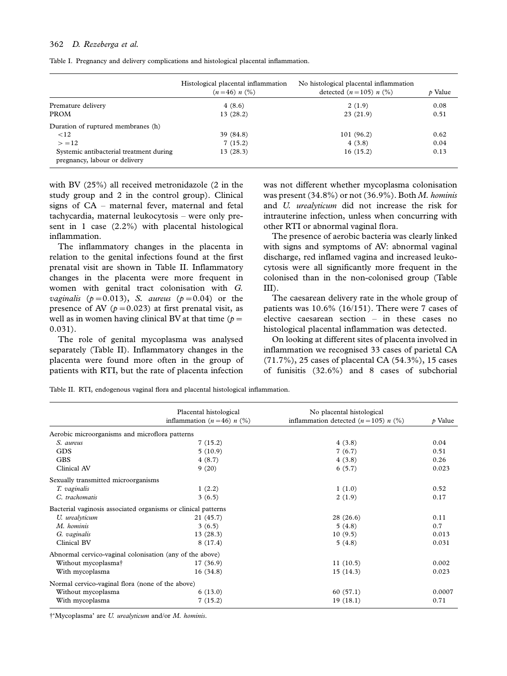|  |  | Table I. Pregnancy and delivery complications and histological placental inflammation. |  |
|--|--|----------------------------------------------------------------------------------------|--|
|  |  |                                                                                        |  |

|                                                                          | Histological placental inflammation<br>$(n=46) n$ (%) | No histological placental inflammation<br>detected $(n = 105) n$ (%) | p Value |
|--------------------------------------------------------------------------|-------------------------------------------------------|----------------------------------------------------------------------|---------|
| Premature delivery                                                       | 4(8.6)                                                | 2(1.9)                                                               | 0.08    |
| <b>PROM</b>                                                              | 13(28.2)                                              | 23(21.9)                                                             | 0.51    |
| Duration of ruptured membranes (h)                                       |                                                       |                                                                      |         |
| <12                                                                      | 39 (84.8)                                             | 101(96.2)                                                            | 0.62    |
| > 12                                                                     | 7(15.2)                                               | 4(3.8)                                                               | 0.04    |
| Systemic antibacterial treatment during<br>pregnancy, labour or delivery | 13(28.3)                                              | 16(15.2)                                                             | 0.13    |

with BV (25%) all received metronidazole (2 in the study group and 2 in the control group). Clinical signs of CA - maternal fever, maternal and fetal tachycardia, maternal leukocytosis - were only present in 1 case (2.2%) with placental histological inflammation.

The inflammatory changes in the placenta in relation to the genital infections found at the first prenatal visit are shown in Table II. Inflammatory changes in the placenta were more frequent in women with genital tract colonisation with G. *vaginalis* ( $p=0.013$ ), S. *aureus* ( $p=0.04$ ) or the presence of AV ( $p=0.023$ ) at first prenatal visit, as well as in women having clinical BV at that time ( $p =$ 0.031).

The role of genital mycoplasma was analysed separately (Table II). Inflammatory changes in the placenta were found more often in the group of patients with RTI, but the rate of placenta infection

was not different whether mycoplasma colonisation was present (34.8%) or not (36.9%). Both M. hominis and U. urealyticum did not increase the risk for intrauterine infection, unless when concurring with other RTI or abnormal vaginal flora.

The presence of aerobic bacteria was clearly linked with signs and symptoms of AV: abnormal vaginal discharge, red inflamed vagina and increased leukocytosis were all significantly more frequent in the colonised than in the non-colonised group (Table III).

The caesarean delivery rate in the whole group of patients was 10.6% (16/151). There were 7 cases of elective caesarean section - in these cases no histological placental inflammation was detected.

On looking at different sites of placenta involved in inflammation we recognised 33 cases of parietal CA (71.7%), 25 cases of placental CA (54.3%), 15 cases of funisitis (32.6%) and 8 cases of subchorial

Table II. RTI, endogenous vaginal flora and placental histological inflammation.

|                                                               | Placental histological                | No placental histological                  |                     |
|---------------------------------------------------------------|---------------------------------------|--------------------------------------------|---------------------|
|                                                               | inflammation $(n=46)$ <i>n</i> $(\%)$ | inflammation detected $(n = 105)$ n $(\%)$ | $\mathcal{P}$ Value |
| Aerobic microorganisms and microflora patterns                |                                       |                                            |                     |
| S. aureus                                                     | 7(15.2)                               | 4(3.8)                                     | 0.04                |
| <b>GDS</b>                                                    | 5(10.9)                               | 7(6.7)                                     | 0.51                |
| <b>GBS</b>                                                    | 4(8.7)                                | 4(3.8)                                     | 0.26                |
| Clinical AV                                                   | 9(20)                                 | 6(5.7)                                     | 0.023               |
| Sexually transmitted microorganisms                           |                                       |                                            |                     |
| T. vaginalis                                                  | 1(2.2)                                | 1(1.0)                                     | 0.52                |
| C. trachomatis                                                | 3(6.5)                                | 2(1.9)                                     | 0.17                |
| Bacterial vaginosis associated organisms or clinical patterns |                                       |                                            |                     |
| U. urealyticum                                                | 21 (45.7)                             | 28(26.6)                                   | 0.11                |
| M. hominis                                                    | 3(6.5)                                | 5(4.8)                                     | 0.7                 |
| G. vaginalis                                                  | 13(28.3)                              | 10(9.5)                                    | 0.013               |
| Clinical BV                                                   | 8(17.4)                               | 5(4.8)                                     | 0.031               |
| Abnormal cervico-vaginal colonisation (any of the above)      |                                       |                                            |                     |
| Without mycoplasma <sup>†</sup>                               | 17(36.9)                              | 11(10.5)                                   | 0.002               |
| With mycoplasma                                               | 16(34.8)                              | 15(14.3)                                   | 0.023               |
| Normal cervico-vaginal flora (none of the above)              |                                       |                                            |                     |
| Without mycoplasma                                            | 6(13.0)                               | 60(57.1)                                   | 0.0007              |
| With mycoplasma                                               | 7(15.2)                               | 19(18.1)                                   | 0.71                |

\$'Mycoplasma' are U. urealyticum and/or M. hominis.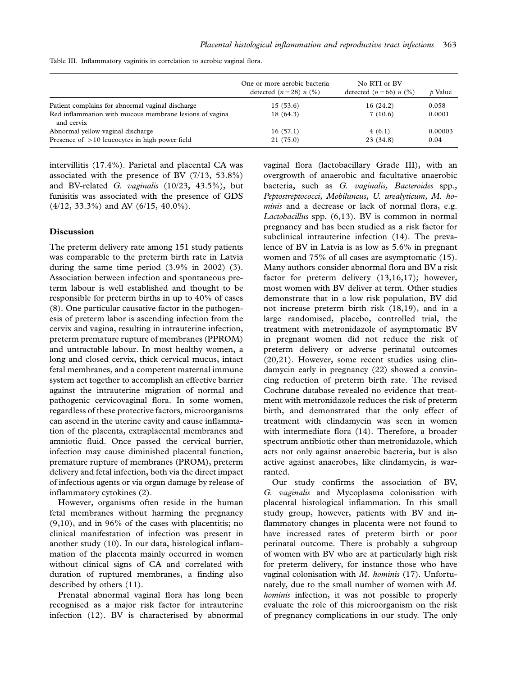|  | Table III. Inflammatory vaginitis in correlation to aerobic vaginal flora. |  |  |  |  |
|--|----------------------------------------------------------------------------|--|--|--|--|
|--|----------------------------------------------------------------------------|--|--|--|--|

|                                                                       | One or more aerobic bacteria<br>detected $(n=28)$ n $\binom{0}{0}$ | No RTI or BV<br>detected $(n=66)$ n $\binom{0}{0}$ | $\dot{p}$ Value |
|-----------------------------------------------------------------------|--------------------------------------------------------------------|----------------------------------------------------|-----------------|
| Patient complains for abnormal vaginal discharge                      | 15(53.6)                                                           | 16(24.2)                                           | 0.058           |
| Red inflammation with mucous membrane lesions of vagina<br>and cervix | 18 (64.3)                                                          | 7(10.6)                                            | 0.0001          |
| Abnormal yellow vaginal discharge                                     | 16(57.1)                                                           | 4(6.1)                                             | 0.00003         |
| Presence of $>10$ leucocytes in high power field                      | 21(75.0)                                                           | 23 (34.8)                                          | 0.04            |

intervillitis (17.4%). Parietal and placental CA was associated with the presence of BV (7/13, 53.8%) and BV-related G. vaginalis (10/23, 43.5%), but funisitis was associated with the presence of GDS (4/12, 33.3%) and AV (6/15, 40.0%).

#### Discussion

The preterm delivery rate among 151 study patients was comparable to the preterm birth rate in Latvia during the same time period (3.9% in 2002) (3). Association between infection and spontaneous preterm labour is well established and thought to be responsible for preterm births in up to 40% of cases (8). One particular causative factor in the pathogenesis of preterm labor is ascending infection from the cervix and vagina, resulting in intrauterine infection, preterm premature rupture of membranes (PPROM) and untractable labour. In most healthy women, a long and closed cervix, thick cervical mucus, intact fetal membranes, and a competent maternal immune system act together to accomplish an effective barrier against the intrauterine migration of normal and pathogenic cervicovaginal flora. In some women, regardless of these protective factors, microorganisms can ascend in the uterine cavity and cause inflammation of the placenta, extraplacental membranes and amniotic fluid. Once passed the cervical barrier, infection may cause diminished placental function, premature rupture of membranes (PROM), preterm delivery and fetal infection, both via the direct impact of infectious agents or via organ damage by release of inflammatory cytokines (2).

However, organisms often reside in the human fetal membranes without harming the pregnancy  $(9,10)$ , and in 96% of the cases with placentitis; no clinical manifestation of infection was present in another study (10). In our data, histological inflammation of the placenta mainly occurred in women without clinical signs of CA and correlated with duration of ruptured membranes, a finding also described by others (11).

Prenatal abnormal vaginal flora has long been recognised as a major risk factor for intrauterine infection (12). BV is characterised by abnormal vaginal flora (lactobacillary Grade III), with an overgrowth of anaerobic and facultative anaerobic bacteria, such as G. vaginalis, Bacteroides spp., Peptostreptococci, Mobiluncus, U. urealyticum, M. hominis and a decrease or lack of normal flora, e.g. Lactobacillus spp. (6,13). BV is common in normal pregnancy and has been studied as a risk factor for subclinical intrauterine infection (14). The prevalence of BV in Latvia is as low as 5.6% in pregnant women and 75% of all cases are asymptomatic (15). Many authors consider abnormal flora and BV a risk factor for preterm delivery (13,16,17); however, most women with BV deliver at term. Other studies demonstrate that in a low risk population, BV did not increase preterm birth risk (18,19), and in a large randomised, placebo, controlled trial, the treatment with metronidazole of asymptomatic BV in pregnant women did not reduce the risk of preterm delivery or adverse perinatal outcomes (20,21). However, some recent studies using clindamycin early in pregnancy (22) showed a convincing reduction of preterm birth rate. The revised Cochrane database revealed no evidence that treatment with metronidazole reduces the risk of preterm birth, and demonstrated that the only effect of treatment with clindamycin was seen in women with intermediate flora (14). Therefore, a broader spectrum antibiotic other than metronidazole, which acts not only against anaerobic bacteria, but is also active against anaerobes, like clindamycin, is warranted.

Our study confirms the association of BV, G. vaginalis and Mycoplasma colonisation with placental histological inflammation. In this small study group, however, patients with BV and inflammatory changes in placenta were not found to have increased rates of preterm birth or poor perinatal outcome. There is probably a subgroup of women with BV who are at particularly high risk for preterm delivery, for instance those who have vaginal colonisation with  $M$ . hominis (17). Unfortunately, due to the small number of women with M. hominis infection, it was not possible to properly evaluate the role of this microorganism on the risk of pregnancy complications in our study. The only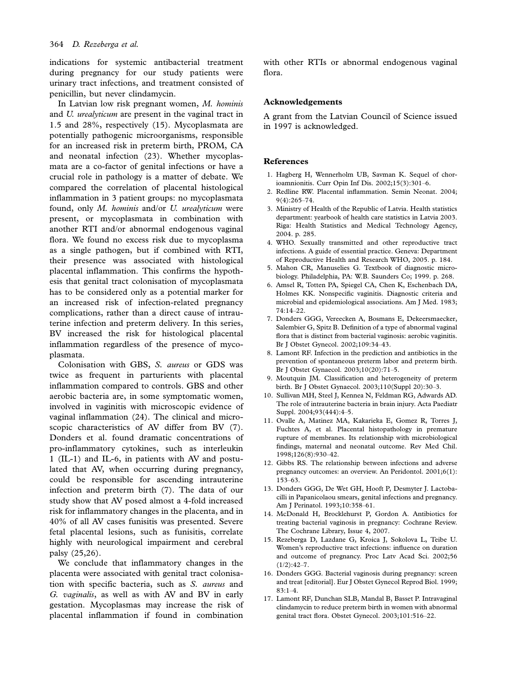indications for systemic antibacterial treatment during pregnancy for our study patients were urinary tract infections, and treatment consisted of penicillin, but never clindamycin.

In Latvian low risk pregnant women, M. hominis and U. urealyticum are present in the vaginal tract in 1.5 and 28%, respectively (15). Mycoplasmata are potentially pathogenic microorganisms, responsible for an increased risk in preterm birth, PROM, CA and neonatal infection (23). Whether mycoplasmata are a co-factor of genital infections or have a crucial role in pathology is a matter of debate. We compared the correlation of placental histological inflammation in 3 patient groups: no mycoplasmata found, only M. hominis and/or U. urealyticum were present, or mycoplasmata in combination with another RTI and/or abnormal endogenous vaginal flora. We found no excess risk due to mycoplasma as a single pathogen, but if combined with RTI, their presence was associated with histological placental inflammation. This confirms the hypothesis that genital tract colonisation of mycoplasmata has to be considered only as a potential marker for an increased risk of infection-related pregnancy complications, rather than a direct cause of intrauterine infection and preterm delivery. In this series, BV increased the risk for histological placental inflammation regardless of the presence of mycoplasmata.

Colonisation with GBS, S. aureus or GDS was twice as frequent in parturients with placental inflammation compared to controls. GBS and other aerobic bacteria are, in some symptomatic women, involved in vaginitis with microscopic evidence of vaginal inflammation (24). The clinical and microscopic characteristics of AV differ from BV (7). Donders et al. found dramatic concentrations of pro-inflammatory cytokines, such as interleukin 1 (IL-1) and IL-6, in patients with AV and postulated that AV, when occurring during pregnancy, could be responsible for ascending intrauterine infection and preterm birth (7). The data of our study show that AV posed almost a 4-fold increased risk for inflammatory changes in the placenta, and in 40% of all AV cases funisitis was presented. Severe fetal placental lesions, such as funisitis, correlate highly with neurological impairment and cerebral palsy (25,26).

We conclude that inflammatory changes in the placenta were associated with genital tract colonisation with specific bacteria, such as S. aureus and G. vaginalis, as well as with AV and BV in early gestation. Mycoplasmas may increase the risk of placental inflammation if found in combination

with other RTIs or abnormal endogenous vaginal flora.

### Acknowledgements

A grant from the Latvian Council of Science issued in 1997 is acknowledged.

#### References

- 1. Hagberg H, Wennerholm UB, Savman K. Sequel of chorioamnionitis. Curr Opin Inf Dis. 2002;15(3):301-6.
- 2. Redline RW. Placental inflammation. Semin Neonat. 2004; 9(4):265-74.
- 3. Ministry of Health of the Republic of Latvia. Health statistics department: yearbook of health care statistics in Latvia 2003. Riga: Health Statistics and Medical Technology Agency, 2004. p. 285.
- 4. WHO. Sexually transmitted and other reproductive tract infections. A guide of essential practice. Geneva: Department of Reproductive Health and Research WHO, 2005. p. 184.
- 5. Mahon CR, Manuselies G. Textbook of diagnostic microbiology. Philadelphia, PA: W.B. Saunders Co; 1999. p. 268.
- 6. Amsel R, Totten PA, Spiegel CA, Chen K, Eschenbach DA, Holmes KK. Nonspecific vaginitis. Diagnostic criteria and microbial and epidemiological associations. Am J Med. 1983; 74:14-22.
- 7. Donders GGG, Vereecken A, Bosmans E, Dekeersmaecker, Salembier G, Spitz B. Definition of a type of abnormal vaginal flora that is distinct from bacterial vaginosis: aerobic vaginitis. Br J Obstet Gynecol. 2002;109:34-43.
- 8. Lamont RF. Infection in the prediction and antibiotics in the prevention of spontaneous preterm labor and preterm birth. Br J Obstet Gynaecol. 2003;10(20):71-5.
- 9. Moutquin JM. Classification and heterogeneity of preterm birth. Br J Obstet Gynaecol. 2003;110(Suppl 20):30-3.
- 10. Sullivan MH, Steel J, Kennea N, Feldman RG, Adwards AD. The role of intrauterine bacteria in brain injury. Acta Paediatr Suppl. 2004;93(444):4-5.
- 11. Ovalle A, Matinez MA, Kakarieka E, Gomez R, Torres J, Fuchtes A, et al. Placental histopathology in premature rupture of membranes. Its relationship with microbiological findings, maternal and neonatal outcome. Rev Med Chil. 1998;126(8):930-42.
- 12. Gibbs RS. The relationship between infections and adverse pregnancy outcomes: an overview. An Peridontol. 2001;6(1): 153-63.
- 13. Donders GGG, De Wet GH, Hooft P, Desmyter J. Lactobacilli in Papanicolaou smears, genital infections and pregnancy. Am J Perinatol. 1993;10:358-61.
- 14. McDonald H, Brocklehurst P, Gordon A. Antibiotics for treating bacterial vaginosis in pregnancy: Cochrane Review. The Cochrane Library, Issue 4, 2007.
- 15. Rezeberga D, Lazdane G, Kroica J, Sokolova L, Teibe U. Women's reproductive tract infections: influence on duration and outcome of pregnancy. Proc Latv Acad Sci. 2002;56  $(1/2):42-7.$
- 16. Donders GGG. Bacterial vaginosis during pregnancy: screen and treat [editorial]. Eur J Obstet Gynecol Reprod Biol. 1999; 83:1-4.
- 17. Lamont RF, Dunchan SLB, Mandal B, Basset P. Intravaginal clindamycin to reduce preterm birth in women with abnormal genital tract flora. Obstet Gynecol. 2003;101:516-22.